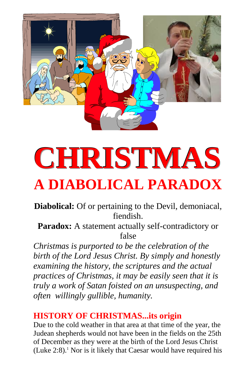

# **CHRISTMAS A DIABOLICAL PARADOX**

**Diabolical:** Of or pertaining to the Devil, demoniacal, fiendish.

Paradox: A statement actually self-contradictory or false

*Christmas is purported to be the celebration of the birth of the Lord Jesus Christ. By simply and honestly examining the history, the scriptures and the actual practices of Christmas, it may be easily seen that it is truly a work of Satan foisted on an unsuspecting, and often willingly gullible, humanity.*

# **HISTORY OF CHRISTMAS...its origin**

Due to the cold weather in that area at that time of the year, the Judean shepherds would not have been in the fields on the 25th of December as they were at the birth of the Lord Jesus Christ (Luke  $2:8$ ).<sup>1</sup> Nor is it likely that Caesar would have required his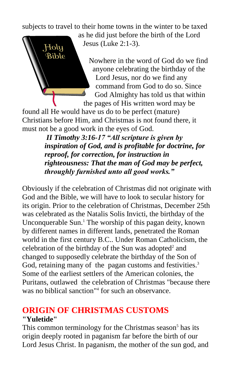subjects to travel to their home towns in the winter to be taxed

Holy Bible

as he did just before the birth of the Lord Jesus (Luke 2:1-3).

Nowhere in the word of God do we find anyone celebrating the birthday of the Lord Jesus, nor do we find any command from God to do so. Since God Almighty has told us that within the pages of His written word may be

found all He would have us do to be perfect (mature) Christians before Him, and Christmas is not found there, it must not be a good work in the eyes of God.

> *II Timothy 3:16-17 "All scripture is given by inspiration of God, and is profitable for doctrine, for reproof, for correction, for instruction in righteousness: That the man of God may be perfect, throughly furnished unto all good works."*

Obviously if the celebration of Christmas did not originate with God and the Bible, we will have to look to secular history for its origin. Prior to the celebration of Christmas, December 25th was celebrated as the Natalis Solis Invicti, the birthday of the Unconquerable Sun.<sup>1</sup> The worship of this pagan deity, known by different names in different lands, penetrated the Roman world in the first century B.C.. Under Roman Catholicism, the celebration of the birthday of the Sun was adopted<sup>2</sup> and changed to supposedly celebrate the birthday of the Son of God, retaining many of the pagan customs and festivities.<sup>3</sup> Some of the earliest settlers of the American colonies, the Puritans, outlawed the celebration of Christmas "because there was no biblical sanction"<sup>4</sup> for such an observance.

# **ORIGIN OF CHRISTMAS CUSTOMS "Yuletide"**

This common terminology for the Christmas season<sup>5</sup> has its origin deeply rooted in paganism far before the birth of our Lord Jesus Christ. In paganism, the mother of the sun god, and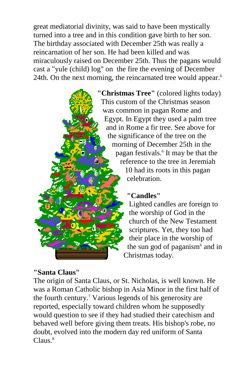great mediatorial divinity, was said to have been mystically turned into a tree and in this condition gave birth to her son. The birthday associated with December 25th was really a reincarnation of her son. He had been killed and was miraculously raised on December 25th. Thus the pagans would cast a "yule (child) log" on the fire the evening of December 24th. On the next morning, the reincarnated tree would appear.<sup>6</sup>

**"Christmas Tree"** (colored lights today) This custom of the Christmas season was common in pagan Rome and Egypt. In Egypt they used a palm tree and in Rome a fir tree. See above for the significance of the tree on the morning of December 25th in the pagan festivals.<sup>6</sup> It may be that the reference to the tree in Jeremiah

10 had its roots in this pagan celebration.

#### **"Candles"**

Lighted candles are foreign to the worship of God in the church of the New Testament scriptures. Yet, they too had their place in the worship of the sun god of paganism $6$  and in Christmas today.

## **"Santa Claus"**

The origin of Santa Claus, or St. Nicholas, is well known. He was a Roman Catholic bishop in Asia Minor in the first half of the fourth century.<sup>7</sup> Various legends of his generosity are reported, especially toward children whom he supposedly would question to see if they had studied their catechism and behaved well before giving them treats. His bishop's robe, no doubt, evolved into the modern day red uniform of Santa Claus.<sup>8</sup>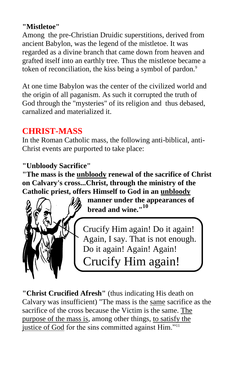## **"Mistletoe"**

Among the pre-Christian Druidic superstitions, derived from ancient Babylon, was the legend of the mistletoe. It was regarded as a divine branch that came down from heaven and grafted itself into an earthly tree. Thus the mistletoe became a token of reconciliation, the kiss being a symbol of pardon.<sup>9</sup>

At one time Babylon was the center of the civilized world and the origin of all paganism. As such it corrupted the truth of God through the "mysteries" of its religion and thus debased, carnalized and materialized it.

# **CHRIST-MASS**

In the Roman Catholic mass, the following anti-biblical, anti-Christ events are purported to take place:

## **"Unbloody Sacrifice"**

**"The mass is the unbloody renewal of the sacrifice of Christ on Calvary's cross...Christ, through the ministry of the Catholic priest, offers Himself to God in an unbloody**



**manner under the appearances of bread and wine."<sup>10</sup>**

Crucify Him again! Do it again! Again, I say. That is not enough. Do it again! Again! Again! Crucify Him again!

**"Christ Crucified Afresh"** (thus indicating His death on Calvary was insufficient) "The mass is the same sacrifice as the sacrifice of the cross because the Victim is the same. The purpose of the mass is, among other things, to satisfy the justice of God for the sins committed against Him."<sup>11</sup>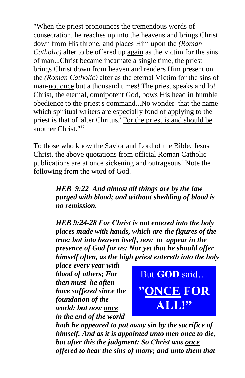"When the priest pronounces the tremendous words of consecration, he reaches up into the heavens and brings Christ down from His throne, and places Him upon the *(Roman Catholic)* alter to be offered up again as the victim for the sins of man...Christ became incarnate a single time, the priest brings Christ down from heaven and renders Him present on the *(Roman Catholic)* alter as the eternal Victim for the sins of man-not once but a thousand times! The priest speaks and lo! Christ, the eternal, omnipotent God, bows His head in humble obedience to the priest's command...No wonder that the name which spiritual writers are especially fond of applying to the priest is that of 'alter Chritus.' For the priest is and should be another Christ."<sup>12</sup>

To those who know the Savior and Lord of the Bible, Jesus Christ, the above quotations from official Roman Catholic publications are at once sickening and outrageous! Note the following from the word of God.

> *HEB 9:22 And almost all things are by the law purged with blood; and without shedding of blood is no remission.*

*HEB 9:24-28 For Christ is not entered into the holy places made with hands, which are the figures of the true; but into heaven itself, now to appear in the presence of God for us: Nor yet that he should offer himself often, as the high priest entereth into the holy* 

*place every year with blood of others; For then must he often have suffered since the foundation of the world: but now once in the end of the world* 



*hath he appeared to put away sin by the sacrifice of himself. And as it is appointed unto men once to die, but after this the judgment: So Christ was once offered to bear the sins of many; and unto them that*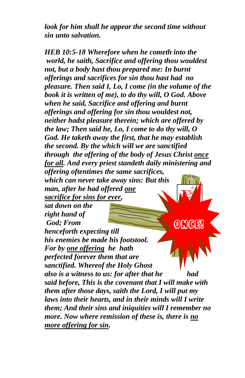*look for him shall he appear the second time without sin unto salvation.* 

**ONCE!** *HEB 10:5-18 Wherefore when he cometh into the world, he saith, Sacrifice and offering thou wouldest not, but a body hast thou prepared me: In burnt offerings and sacrifices for sin thou hast had no pleasure. Then said I, Lo, I come (in the volume of the book it is written of me), to do thy will, O God. Above when he said, Sacrifice and offering and burnt offerings and offering for sin thou wouldest not, neither hadst pleasure therein; which are offered by the law; Then said he, Lo, I come to do thy will, O God. He taketh away the first, that he may establish the second. By the which will we are sanctified through the offering of the body of Jesus Christ once for all. And every priest standeth daily ministering and offering oftentimes the same sacrifices, which can never take away sins: But this man, after he had offered one sacrifice for sins for ever, sat down on the right hand of God; From henceforth expecting till his enemies be made his footstool. For by one offering he hath perfected forever them that are sanctified. Whereof the Holy Ghost also is a witness to us: for after that he had said before, This is the covenant that I will make with them after those days, saith the Lord, I will put my laws into their hearts, and in their minds will I write them; And their sins and iniquities will I remember no more. Now where remission of these is, there is no more offering for sin.*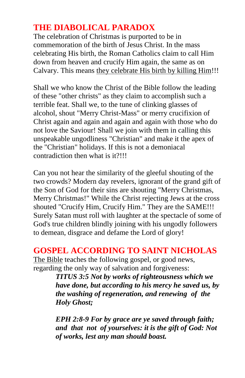# **THE DIABOLICAL PARADOX**

The celebration of Christmas is purported to be in commemoration of the birth of Jesus Christ. In the mass celebrating His birth, the Roman Catholics claim to call Him down from heaven and crucify Him again, the same as on Calvary. This means they celebrate His birth by killing Him!!!

Shall we who know the Christ of the Bible follow the leading of these "other christs" as they claim to accomplish such a terrible feat. Shall we, to the tune of clinking glasses of alcohol, shout "Merry Christ-Mass" or merry crucifixion of Christ again and again and again and again with those who do not love the Saviour! Shall we join with them in calling this unspeakable ungodliness "Christian" and make it the apex of the "Christian" holidays. If this is not a demoniacal contradiction then what is it?!!!

Can you not hear the similarity of the gleeful shouting of the two crowds? Modern day revelers, ignorant of the grand gift of the Son of God for their sins are shouting "Merry Christmas, Merry Christmas!" While the Christ rejecting Jews at the cross shouted "Crucify Him, Crucify Him." They are the SAME!!! Surely Satan must roll with laughter at the spectacle of some of God's true children blindly joining with his ungodly followers to demean, disgrace and defame the Lord of glory!

# **GOSPEL ACCORDING TO SAINT NICHOLAS**

The Bible teaches the following gospel, or good news, regarding the only way of salvation and forgiveness:

*TITUS 3:5 Not by works of righteousness which we have done, but according to his mercy he saved us, by the washing of regeneration, and renewing of the Holy Ghost;*

*EPH 2:8-9 For by grace are ye saved through faith; and that not of yourselves: it is the gift of God: Not of works, lest any man should boast.*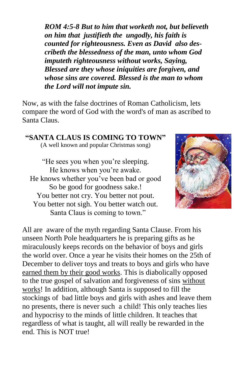*ROM 4:5-8 But to him that worketh not, but believeth on him that justifieth the ungodly, his faith is counted for righteousness. Even as David also describeth the blessedness of the man, unto whom God imputeth righteousness without works, Saying, Blessed are they whose iniquities are forgiven, and whose sins are covered. Blessed is the man to whom the Lord will not impute sin.*

Now, as with the false doctrines of Roman Catholicism, lets compare the word of God with the word's of man as ascribed to Santa Claus.

#### **"SANTA CLAUS IS COMING TO TOWN"**

(A well known and popular Christmas song)

"He sees you when you're sleeping. He knows when you're awake. He knows whether you've been bad or good So be good for goodness sake.! You better not cry. You better not pout. You better not sigh. You better watch out. Santa Claus is coming to town."



All are aware of the myth regarding Santa Clause. From his unseen North Pole headquarters he is preparing gifts as he miraculously keeps records on the behavior of boys and girls the world over. Once a year he visits their homes on the 25th of December to deliver toys and treats to boys and girls who have earned them by their good works. This is diabolically opposed to the true gospel of salvation and forgiveness of sins without works! In addition, although Santa is supposed to fill the stockings of bad little boys and girls with ashes and leave them no presents, there is never such a child! This only teaches lies and hypocrisy to the minds of little children. It teaches that regardless of what is taught, all will really be rewarded in the end. This is NOT true!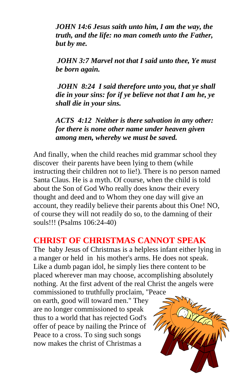*JOHN 14:6 Jesus saith unto him, I am the way, the truth, and the life: no man cometh unto the Father, but by me.*

*JOHN 3:7 Marvel not that I said unto thee, Ye must be born again.*

*JOHN 8:24 I said therefore unto you, that ye shall die in your sins: for if ye believe not that I am he, ye shall die in your sins.*

*ACTS 4:12 Neither is there salvation in any other: for there is none other name under heaven given among men, whereby we must be saved.*

And finally, when the child reaches mid grammar school they discover their parents have been lying to them (while instructing their children not to lie!). There is no person named Santa Claus. He is a myth. Of course, when the child is told about the Son of God Who really does know their every thought and deed and to Whom they one day will give an account, they readily believe their parents about this One! NO, of course they will not readily do so, to the damning of their souls!!! (Psalms 106:24-40)

# **CHRIST OF CHRISTMAS CANNOT SPEAK**

The baby Jesus of Christmas is a helpless infant either lying in a manger or held in his mother's arms. He does not speak. Like a dumb pagan idol, he simply lies there content to be placed wherever man may choose, accomplishing absolutely nothing. At the first advent of the real Christ the angels were commissioned to truthfully proclaim, "Peace

on earth, good will toward men." They are no longer commissioned to speak thus to a world that has rejected God's offer of peace by nailing the Prince of Peace to a cross. To sing such songs now makes the christ of Christmas a

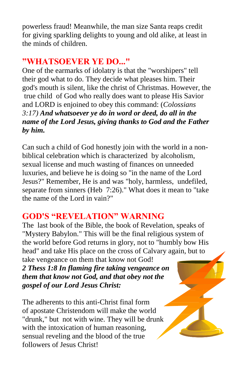powerless fraud! Meanwhile, the man size Santa reaps credit for giving sparkling delights to young and old alike, at least in the minds of children.

#### **"WHATSOEVER YE DO..."**

One of the earmarks of idolatry is that the "worshipers" tell their god what to do. They decide what pleases him. Their god's mouth is silent, like the christ of Christmas. However, the true child of God who really does want to please His Savior and LORD is enjoined to obey this command: (*Colossians 3:17) And whatsoever ye do in word or deed, do all in the name of the Lord Jesus, giving thanks to God and the Father by him.*

Can such a child of God honestly join with the world in a nonbiblical celebration which is characterized by alcoholism, sexual license and much wasting of finances on unneeded luxuries, and believe he is doing so "in the name of the Lord Jesus?" Remember, He is and was "holy, harmless, undefiled, separate from sinners (Heb 7:26)." What does it mean to "take the name of the Lord in vain?"

# **GOD'S "REVELATION" WARNING**

The last book of the Bible, the book of Revelation, speaks of "Mystery Babylon." This will be the final religious system of the world before God returns in glory, not to "humbly bow His head" and take His place on the cross of Calvary again, but to take vengeance on them that know not God!

*2 Thess 1:8 In flaming fire taking vengeance on them that know not God, and that obey not the gospel of our Lord Jesus Christ:* 

The adherents to this anti-Christ final form of apostate Christendom will make the world "drunk," but not with wine. They will be drunk with the intoxication of human reasoning, sensual reveling and the blood of the true followers of Jesus Christ!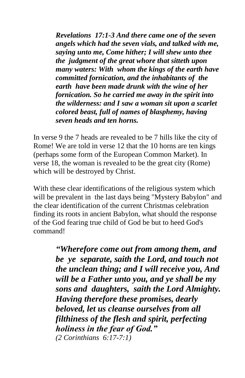*Revelations 17:1-3 And there came one of the seven angels which had the seven vials, and talked with me, saying unto me, Come hither; I will shew unto thee the judgment of the great whore that sitteth upon many waters: With whom the kings of the earth have committed fornication, and the inhabitants of the earth have been made drunk with the wine of her fornication. So he carried me away in the spirit into the wilderness: and I saw a woman sit upon a scarlet colored beast, full of names of blasphemy, having seven heads and ten horns.* 

In verse 9 the 7 heads are revealed to be 7 hills like the city of Rome! We are told in verse 12 that the 10 horns are ten kings (perhaps some form of the European Common Market). In verse 18, the woman is revealed to be the great city (Rome) which will be destroyed by Christ.

With these clear identifications of the religious system which will be prevalent in the last days being "Mystery Babylon" and the clear identification of the current Christmas celebration finding its roots in ancient Babylon, what should the response of the God fearing true child of God be but to heed God's command!

> *"Wherefore come out from among them, and be ye separate, saith the Lord, and touch not the unclean thing; and I will receive you, And will be a Father unto you, and ye shall be my sons and daughters, saith the Lord Almighty. Having therefore these promises, dearly beloved, let us cleanse ourselves from all filthiness of the flesh and spirit, perfecting holiness in the fear of God." (2 Corinthians 6:17-7:1)*